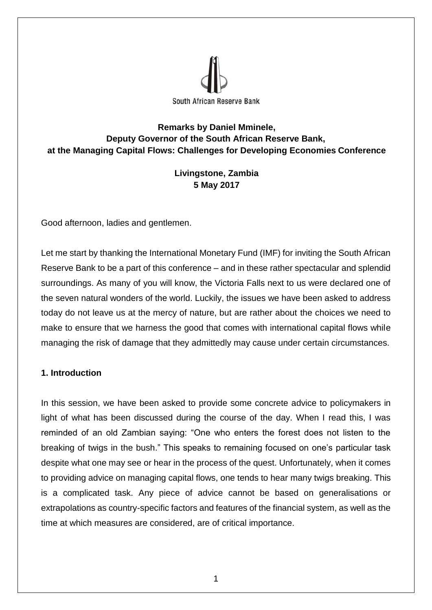

## **Remarks by Daniel Mminele, Deputy Governor of the South African Reserve Bank, at the Managing Capital Flows: Challenges for Developing Economies Conference**

# **Livingstone, Zambia 5 May 2017**

Good afternoon, ladies and gentlemen.

Let me start by thanking the International Monetary Fund (IMF) for inviting the South African Reserve Bank to be a part of this conference – and in these rather spectacular and splendid surroundings. As many of you will know, the Victoria Falls next to us were declared one of the seven natural wonders of the world. Luckily, the issues we have been asked to address today do not leave us at the mercy of nature, but are rather about the choices we need to make to ensure that we harness the good that comes with international capital flows while managing the risk of damage that they admittedly may cause under certain circumstances.

## **1. Introduction**

In this session, we have been asked to provide some concrete advice to policymakers in light of what has been discussed during the course of the day. When I read this, I was reminded of an old Zambian saying: "One who enters the forest does not listen to the breaking of twigs in the bush." This speaks to remaining focused on one's particular task despite what one may see or hear in the process of the quest. Unfortunately, when it comes to providing advice on managing capital flows, one tends to hear many twigs breaking. This is a complicated task. Any piece of advice cannot be based on generalisations or extrapolations as country-specific factors and features of the financial system, as well as the time at which measures are considered, are of critical importance.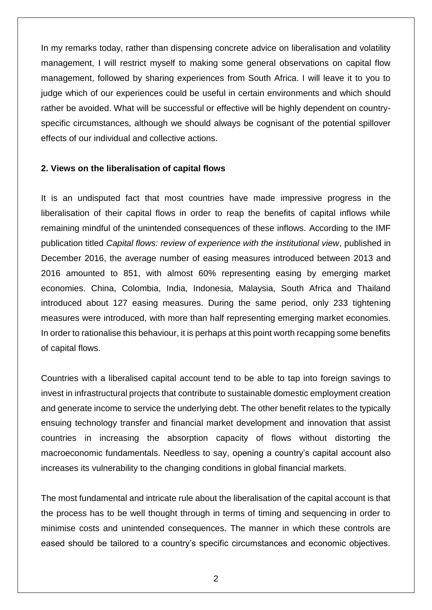In my remarks today, rather than dispensing concrete advice on liberalisation and volatility management, I will restrict myself to making some general observations on capital flow management, followed by sharing experiences from South Africa. I will leave it to you to judge which of our experiences could be useful in certain environments and which should rather be avoided. What will be successful or effective will be highly dependent on countryspecific circumstances, although we should always be cognisant of the potential spillover effects of our individual and collective actions.

#### **2. Views on the liberalisation of capital flows**

It is an undisputed fact that most countries have made impressive progress in the liberalisation of their capital flows in order to reap the benefits of capital inflows while remaining mindful of the unintended consequences of these inflows. According to the IMF publication titled *Capital flows: review of experience with the institutional view*, published in December 2016, the average number of easing measures introduced between 2013 and 2016 amounted to 851, with almost 60% representing easing by emerging market economies. China, Colombia, India, Indonesia, Malaysia, South Africa and Thailand introduced about 127 easing measures. During the same period, only 233 tightening measures were introduced, with more than half representing emerging market economies. In order to rationalise this behaviour, it is perhaps at this point worth recapping some benefits of capital flows.

Countries with a liberalised capital account tend to be able to tap into foreign savings to invest in infrastructural projects that contribute to sustainable domestic employment creation and generate income to service the underlying debt. The other benefit relates to the typically ensuing technology transfer and financial market development and innovation that assist countries in increasing the absorption capacity of flows without distorting the macroeconomic fundamentals. Needless to say, opening a country's capital account also increases its vulnerability to the changing conditions in global financial markets.

The most fundamental and intricate rule about the liberalisation of the capital account is that the process has to be well thought through in terms of timing and sequencing in order to minimise costs and unintended consequences. The manner in which these controls are eased should be tailored to a country's specific circumstances and economic objectives.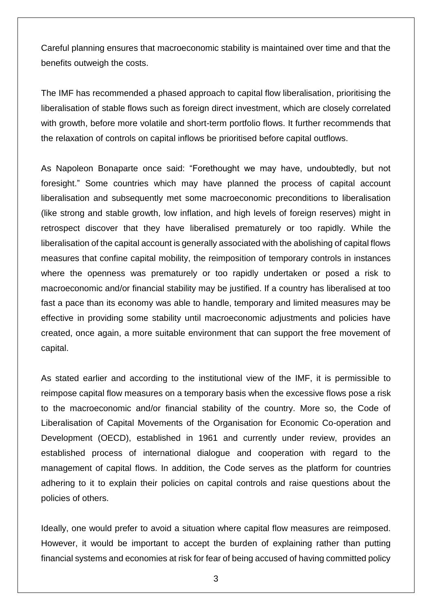Careful planning ensures that macroeconomic stability is maintained over time and that the benefits outweigh the costs.

The IMF has recommended a phased approach to capital flow liberalisation, prioritising the liberalisation of stable flows such as foreign direct investment, which are closely correlated with growth, before more volatile and short-term portfolio flows. It further recommends that the relaxation of controls on capital inflows be prioritised before capital outflows.

As Napoleon Bonaparte once said: "Forethought we may have, undoubtedly, but not foresight." Some countries which may have planned the process of capital account liberalisation and subsequently met some macroeconomic preconditions to liberalisation (like strong and stable growth, low inflation, and high levels of foreign reserves) might in retrospect discover that they have liberalised prematurely or too rapidly. While the liberalisation of the capital account is generally associated with the abolishing of capital flows measures that confine capital mobility, the reimposition of temporary controls in instances where the openness was prematurely or too rapidly undertaken or posed a risk to macroeconomic and/or financial stability may be justified. If a country has liberalised at too fast a pace than its economy was able to handle, temporary and limited measures may be effective in providing some stability until macroeconomic adjustments and policies have created, once again, a more suitable environment that can support the free movement of capital.

As stated earlier and according to the institutional view of the IMF, it is permissible to reimpose capital flow measures on a temporary basis when the excessive flows pose a risk to the macroeconomic and/or financial stability of the country. More so, the Code of Liberalisation of Capital Movements of the Organisation for Economic Co-operation and Development (OECD), established in 1961 and currently under review, provides an established process of international dialogue and cooperation with regard to the management of capital flows. In addition, the Code serves as the platform for countries adhering to it to explain their policies on capital controls and raise questions about the policies of others.

Ideally, one would prefer to avoid a situation where capital flow measures are reimposed. However, it would be important to accept the burden of explaining rather than putting financial systems and economies at risk for fear of being accused of having committed policy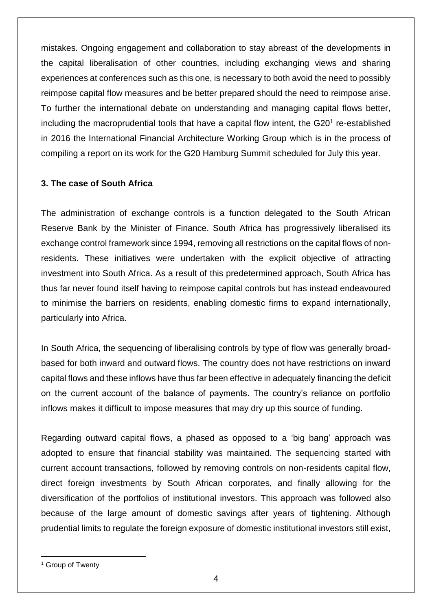mistakes. Ongoing engagement and collaboration to stay abreast of the developments in the capital liberalisation of other countries, including exchanging views and sharing experiences at conferences such as this one, is necessary to both avoid the need to possibly reimpose capital flow measures and be better prepared should the need to reimpose arise. To further the international debate on understanding and managing capital flows better, including the macroprudential tools that have a capital flow intent, the  $G20<sup>1</sup>$  re-established in 2016 the International Financial Architecture Working Group which is in the process of compiling a report on its work for the G20 Hamburg Summit scheduled for July this year.

## **3. The case of South Africa**

The administration of exchange controls is a function delegated to the South African Reserve Bank by the Minister of Finance. South Africa has progressively liberalised its exchange control framework since 1994, removing all restrictions on the capital flows of nonresidents. These initiatives were undertaken with the explicit objective of attracting investment into South Africa. As a result of this predetermined approach, South Africa has thus far never found itself having to reimpose capital controls but has instead endeavoured to minimise the barriers on residents, enabling domestic firms to expand internationally, particularly into Africa.

In South Africa, the sequencing of liberalising controls by type of flow was generally broadbased for both inward and outward flows. The country does not have restrictions on inward capital flows and these inflows have thus far been effective in adequately financing the deficit on the current account of the balance of payments. The country's reliance on portfolio inflows makes it difficult to impose measures that may dry up this source of funding.

Regarding outward capital flows, a phased as opposed to a 'big bang' approach was adopted to ensure that financial stability was maintained. The sequencing started with current account transactions, followed by removing controls on non-residents capital flow, direct foreign investments by South African corporates, and finally allowing for the diversification of the portfolios of institutional investors. This approach was followed also because of the large amount of domestic savings after years of tightening. Although prudential limits to regulate the foreign exposure of domestic institutional investors still exist,

<sup>&</sup>lt;sup>1</sup> Group of Twenty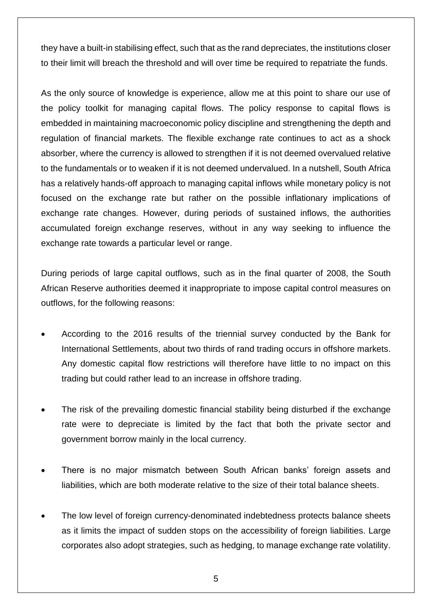they have a built-in stabilising effect, such that as the rand depreciates, the institutions closer to their limit will breach the threshold and will over time be required to repatriate the funds.

As the only source of knowledge is experience, allow me at this point to share our use of the policy toolkit for managing capital flows. The policy response to capital flows is embedded in maintaining macroeconomic policy discipline and strengthening the depth and regulation of financial markets. The flexible exchange rate continues to act as a shock absorber, where the currency is allowed to strengthen if it is not deemed overvalued relative to the fundamentals or to weaken if it is not deemed undervalued. In a nutshell, South Africa has a relatively hands-off approach to managing capital inflows while monetary policy is not focused on the exchange rate but rather on the possible inflationary implications of exchange rate changes. However, during periods of sustained inflows, the authorities accumulated foreign exchange reserves, without in any way seeking to influence the exchange rate towards a particular level or range.

During periods of large capital outflows, such as in the final quarter of 2008, the South African Reserve authorities deemed it inappropriate to impose capital control measures on outflows, for the following reasons:

- According to the 2016 results of the triennial survey conducted by the Bank for International Settlements, about two thirds of rand trading occurs in offshore markets. Any domestic capital flow restrictions will therefore have little to no impact on this trading but could rather lead to an increase in offshore trading.
- The risk of the prevailing domestic financial stability being disturbed if the exchange rate were to depreciate is limited by the fact that both the private sector and government borrow mainly in the local currency.
- There is no major mismatch between South African banks' foreign assets and liabilities, which are both moderate relative to the size of their total balance sheets.
- The low level of foreign currency-denominated indebtedness protects balance sheets as it limits the impact of sudden stops on the accessibility of foreign liabilities. Large corporates also adopt strategies, such as hedging, to manage exchange rate volatility.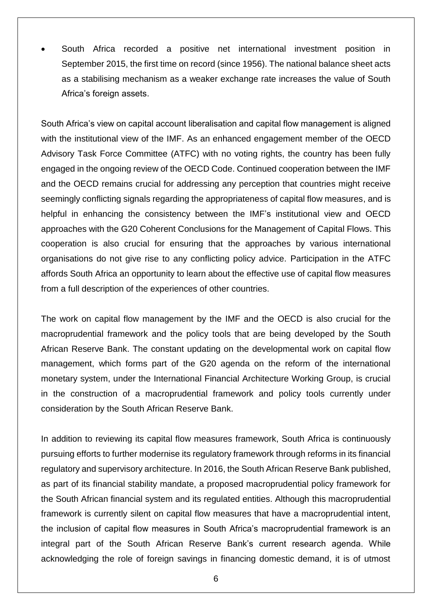South Africa recorded a positive net international investment position in September 2015, the first time on record (since 1956). The national balance sheet acts as a stabilising mechanism as a weaker exchange rate increases the value of South Africa's foreign assets.

South Africa's view on capital account liberalisation and capital flow management is aligned with the institutional view of the IMF. As an enhanced engagement member of the OECD Advisory Task Force Committee (ATFC) with no voting rights, the country has been fully engaged in the ongoing review of the OECD Code. Continued cooperation between the IMF and the OECD remains crucial for addressing any perception that countries might receive seemingly conflicting signals regarding the appropriateness of capital flow measures, and is helpful in enhancing the consistency between the IMF's institutional view and OECD approaches with the G20 Coherent Conclusions for the Management of Capital Flows. This cooperation is also crucial for ensuring that the approaches by various international organisations do not give rise to any conflicting policy advice. Participation in the ATFC affords South Africa an opportunity to learn about the effective use of capital flow measures from a full description of the experiences of other countries.

The work on capital flow management by the IMF and the OECD is also crucial for the macroprudential framework and the policy tools that are being developed by the South African Reserve Bank. The constant updating on the developmental work on capital flow management, which forms part of the G20 agenda on the reform of the international monetary system, under the International Financial Architecture Working Group, is crucial in the construction of a macroprudential framework and policy tools currently under consideration by the South African Reserve Bank.

In addition to reviewing its capital flow measures framework, South Africa is continuously pursuing efforts to further modernise its regulatory framework through reforms in its financial regulatory and supervisory architecture. In 2016, the South African Reserve Bank published, as part of its financial stability mandate, a proposed macroprudential policy framework for the South African financial system and its regulated entities. Although this macroprudential framework is currently silent on capital flow measures that have a macroprudential intent, the inclusion of capital flow measures in South Africa's macroprudential framework is an integral part of the South African Reserve Bank's current research agenda. While acknowledging the role of foreign savings in financing domestic demand, it is of utmost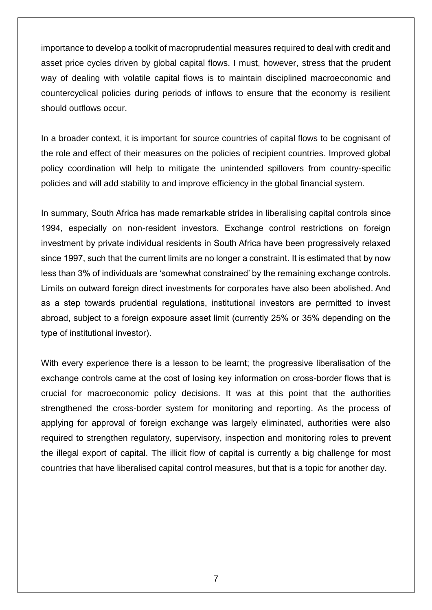importance to develop a toolkit of macroprudential measures required to deal with credit and asset price cycles driven by global capital flows. I must, however, stress that the prudent way of dealing with volatile capital flows is to maintain disciplined macroeconomic and countercyclical policies during periods of inflows to ensure that the economy is resilient should outflows occur.

In a broader context, it is important for source countries of capital flows to be cognisant of the role and effect of their measures on the policies of recipient countries. Improved global policy coordination will help to mitigate the unintended spillovers from country-specific policies and will add stability to and improve efficiency in the global financial system.

In summary, South Africa has made remarkable strides in liberalising capital controls since 1994, especially on non-resident investors. Exchange control restrictions on foreign investment by private individual residents in South Africa have been progressively relaxed since 1997, such that the current limits are no longer a constraint. It is estimated that by now less than 3% of individuals are 'somewhat constrained' by the remaining exchange controls. Limits on outward foreign direct investments for corporates have also been abolished. And as a step towards prudential regulations, institutional investors are permitted to invest abroad, subject to a foreign exposure asset limit (currently 25% or 35% depending on the type of institutional investor).

With every experience there is a lesson to be learnt; the progressive liberalisation of the exchange controls came at the cost of losing key information on cross-border flows that is crucial for macroeconomic policy decisions. It was at this point that the authorities strengthened the cross-border system for monitoring and reporting. As the process of applying for approval of foreign exchange was largely eliminated, authorities were also required to strengthen regulatory, supervisory, inspection and monitoring roles to prevent the illegal export of capital. The illicit flow of capital is currently a big challenge for most countries that have liberalised capital control measures, but that is a topic for another day.